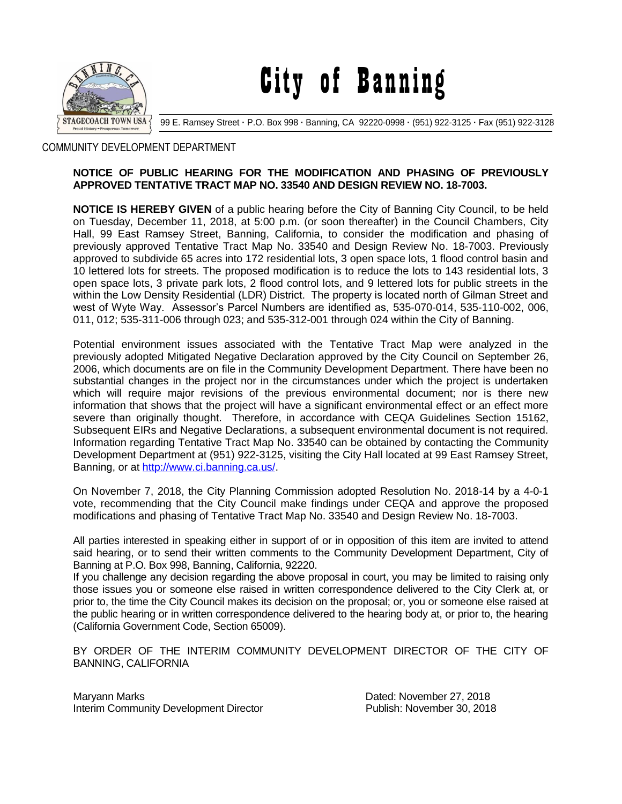

City of Banning

99 E. Ramsey Street **·** P.O. Box 998 **·** Banning, CA 92220-0998 **·** (951) 922-3125 **·** Fax (951) 922-3128

## COMMUNITY DEVELOPMENT DEPARTMENT

## **NOTICE OF PUBLIC HEARING FOR THE MODIFICATION AND PHASING OF PREVIOUSLY APPROVED TENTATIVE TRACT MAP NO. 33540 AND DESIGN REVIEW NO. 18-7003.**

**NOTICE IS HEREBY GIVEN** of a public hearing before the City of Banning City Council, to be held on Tuesday, December 11, 2018, at 5:00 p.m. (or soon thereafter) in the Council Chambers, City Hall, 99 East Ramsey Street, Banning, California, to consider the modification and phasing of previously approved Tentative Tract Map No. 33540 and Design Review No. 18-7003. Previously approved to subdivide 65 acres into 172 residential lots, 3 open space lots, 1 flood control basin and 10 lettered lots for streets. The proposed modification is to reduce the lots to 143 residential lots, 3 open space lots, 3 private park lots, 2 flood control lots, and 9 lettered lots for public streets in the within the Low Density Residential (LDR) District. The property is located north of Gilman Street and west of Wyte Way. Assessor's Parcel Numbers are identified as, 535-070-014, 535-110-002, 006, 011, 012; 535-311-006 through 023; and 535-312-001 through 024 within the City of Banning.

Potential environment issues associated with the Tentative Tract Map were analyzed in the previously adopted Mitigated Negative Declaration approved by the City Council on September 26, 2006, which documents are on file in the Community Development Department. There have been no substantial changes in the project nor in the circumstances under which the project is undertaken which will require major revisions of the previous environmental document; nor is there new information that shows that the project will have a significant environmental effect or an effect more severe than originally thought. Therefore, in accordance with CEQA Guidelines Section 15162, Subsequent EIRs and Negative Declarations, a subsequent environmental document is not required. Information regarding Tentative Tract Map No. 33540 can be obtained by contacting the Community Development Department at (951) 922-3125, visiting the City Hall located at 99 East Ramsey Street, Banning, or at [http://www.ci.banning.ca.us/.](http://www.ci.banning.ca.us/)

On November 7, 2018, the City Planning Commission adopted Resolution No. 2018-14 by a 4-0-1 vote, recommending that the City Council make findings under CEQA and approve the proposed modifications and phasing of Tentative Tract Map No. 33540 and Design Review No. 18-7003.

All parties interested in speaking either in support of or in opposition of this item are invited to attend said hearing, or to send their written comments to the Community Development Department, City of Banning at P.O. Box 998, Banning, California, 92220.

If you challenge any decision regarding the above proposal in court, you may be limited to raising only those issues you or someone else raised in written correspondence delivered to the City Clerk at, or prior to, the time the City Council makes its decision on the proposal; or, you or someone else raised at the public hearing or in written correspondence delivered to the hearing body at, or prior to, the hearing (California Government Code, Section 65009).

BY ORDER OF THE INTERIM COMMUNITY DEVELOPMENT DIRECTOR OF THE CITY OF BANNING, CALIFORNIA

Maryann Marks Dated: November 27, 2018 Interim Community Development Director **Publish: November 30, 2018**